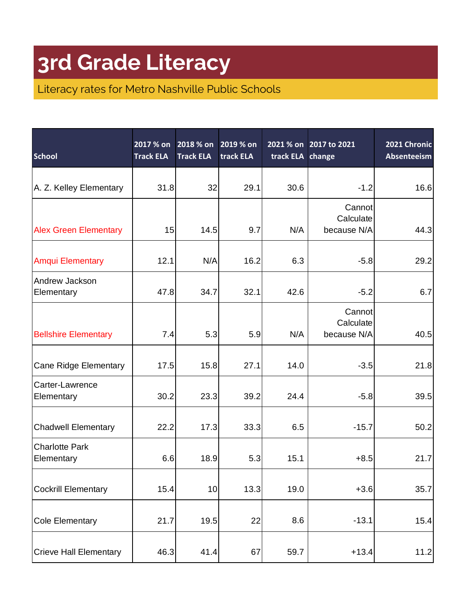| <b>School</b>                       | 2017 % on<br><b>Track ELA</b> | 2018 % on<br><b>Track ELA</b> | 2019 % on<br>track ELA | track ELA change | 2021 % on 2017 to 2021             | 2021 Chronic<br>Absenteeism |
|-------------------------------------|-------------------------------|-------------------------------|------------------------|------------------|------------------------------------|-----------------------------|
| A. Z. Kelley Elementary             | 31.8                          | 32                            | 29.1                   | 30.6             | $-1.2$                             | 16.6                        |
| <b>Alex Green Elementary</b>        | 15                            | 14.5                          | 9.7                    | N/A              | Cannot<br>Calculate<br>because N/A | 44.3                        |
| <b>Amqui Elementary</b>             | 12.1                          | N/A                           | 16.2                   | 6.3              | $-5.8$                             | 29.2                        |
| Andrew Jackson<br>Elementary        | 47.8                          | 34.7                          | 32.1                   | 42.6             | $-5.2$                             | 6.7                         |
| <b>Bellshire Elementary</b>         | 7.4                           | 5.3                           | 5.9                    | N/A              | Cannot<br>Calculate<br>because N/A | 40.5                        |
| <b>Cane Ridge Elementary</b>        | 17.5                          | 15.8                          | 27.1                   | 14.0             | $-3.5$                             | 21.8                        |
| Carter-Lawrence<br>Elementary       | 30.2                          | 23.3                          | 39.2                   | 24.4             | $-5.8$                             | 39.5                        |
| <b>Chadwell Elementary</b>          | 22.2                          | 17.3                          | 33.3                   | 6.5              | $-15.7$                            | 50.2                        |
| <b>Charlotte Park</b><br>Elementary | 6.6                           | 18.9                          | 5.3                    | 15.1             | $+8.5$                             | 21.7                        |
| <b>Cockrill Elementary</b>          | 15.4                          | 10                            | 13.3                   | 19.0             | $+3.6$                             | 35.7                        |
| <b>Cole Elementary</b>              | 21.7                          | 19.5                          | 22                     | 8.6              | $-13.1$                            | 15.4                        |
| <b>Crieve Hall Elementary</b>       | 46.3                          | 41.4                          | 67                     | 59.7             | $+13.4$                            | 11.2                        |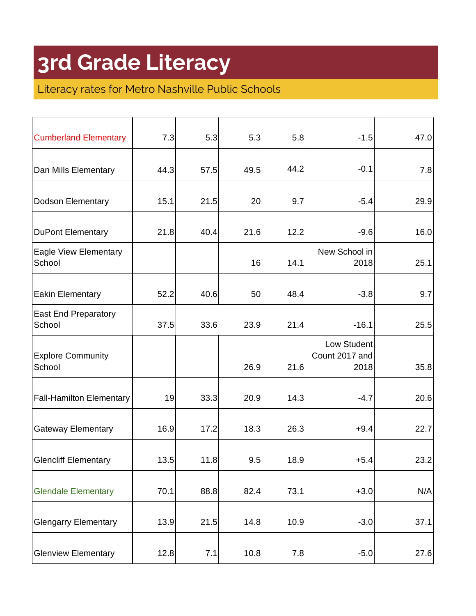| <b>Cumberland Elementary</b>           | 7.3  | 5.3  | 5.3  | 5.8  | $-1.5$                                | 47.0 |
|----------------------------------------|------|------|------|------|---------------------------------------|------|
| Dan Mills Elementary                   | 44.3 | 57.5 | 49.5 | 44.2 | $-0.1$                                | 7.8  |
| Dodson Elementary                      | 15.1 | 21.5 | 20   | 9.7  | $-5.4$                                | 29.9 |
| <b>DuPont Elementary</b>               | 21.8 | 40.4 | 21.6 | 12.2 | $-9.6$                                | 16.0 |
| <b>Eagle View Elementary</b><br>School |      |      | 16   | 14.1 | New School in<br>2018                 | 25.1 |
| <b>Eakin Elementary</b>                | 52.2 | 40.6 | 50   | 48.4 | $-3.8$                                | 9.7  |
| <b>East End Preparatory</b><br>School  | 37.5 | 33.6 | 23.9 | 21.4 | $-16.1$                               | 25.5 |
| <b>Explore Community</b><br>School     |      |      | 26.9 | 21.6 | Low Student<br>Count 2017 and<br>2018 | 35.8 |
| <b>Fall-Hamilton Elementary</b>        | 19   | 33.3 | 20.9 | 14.3 | $-4.7$                                | 20.6 |
| <b>Gateway Elementary</b>              | 16.9 | 17.2 | 18.3 | 26.3 | $+9.4$                                | 22.7 |
| <b>Glencliff Elementary</b>            | 13.5 | 11.8 | 9.5  | 18.9 | $+5.4$                                | 23.2 |
| <b>Glendale Elementary</b>             | 70.1 | 88.8 | 82.4 | 73.1 | $+3.0$                                | N/A  |
| <b>Glengarry Elementary</b>            | 13.9 | 21.5 | 14.8 | 10.9 | $-3.0$                                | 37.1 |
| <b>Glenview Elementary</b>             | 12.8 | 7.1  | 10.8 | 7.8  | $-5.0$                                | 27.6 |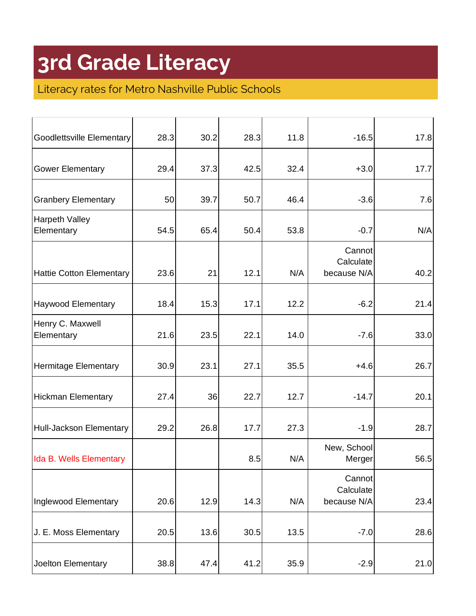| Goodlettsville Elementary           | 28.3 | 30.2 | 28.3 | 11.8 | $-16.5$                            | 17.8 |
|-------------------------------------|------|------|------|------|------------------------------------|------|
| <b>Gower Elementary</b>             | 29.4 | 37.3 | 42.5 | 32.4 | $+3.0$                             | 17.7 |
| <b>Granbery Elementary</b>          | 50   | 39.7 | 50.7 | 46.4 | $-3.6$                             | 7.6  |
| <b>Harpeth Valley</b><br>Elementary | 54.5 | 65.4 | 50.4 | 53.8 | $-0.7$                             | N/A  |
| <b>Hattie Cotton Elementary</b>     | 23.6 | 21   | 12.1 | N/A  | Cannot<br>Calculate<br>because N/A | 40.2 |
| <b>Haywood Elementary</b>           | 18.4 | 15.3 | 17.1 | 12.2 | $-6.2$                             | 21.4 |
| Henry C. Maxwell<br>Elementary      | 21.6 | 23.5 | 22.1 | 14.0 | $-7.6$                             | 33.0 |
| Hermitage Elementary                | 30.9 | 23.1 | 27.1 | 35.5 | $+4.6$                             | 26.7 |
| <b>Hickman Elementary</b>           | 27.4 | 36   | 22.7 | 12.7 | $-14.7$                            | 20.1 |
| Hull-Jackson Elementary             | 29.2 | 26.8 | 17.7 | 27.3 | $-1.9$                             | 28.7 |
| Ida B. Wells Elementary             |      |      | 8.5  | N/A  | New, School<br>Merger              | 56.5 |
| Inglewood Elementary                | 20.6 | 12.9 | 14.3 | N/A  | Cannot<br>Calculate<br>because N/A | 23.4 |
| J. E. Moss Elementary               | 20.5 | 13.6 | 30.5 | 13.5 | $-7.0$                             | 28.6 |
| Joelton Elementary                  | 38.8 | 47.4 | 41.2 | 35.9 | $-2.9$                             | 21.0 |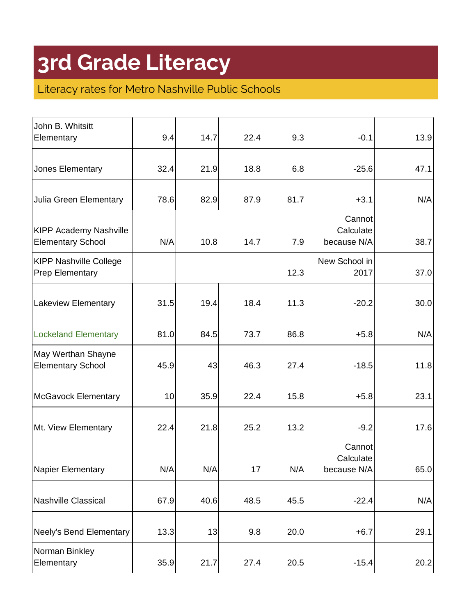| John B. Whitsitt<br>Elementary                            | 9.4  | 14.7 | 22.4 | 9.3  | $-0.1$                             | 13.9 |
|-----------------------------------------------------------|------|------|------|------|------------------------------------|------|
| Jones Elementary                                          | 32.4 | 21.9 | 18.8 | 6.8  | $-25.6$                            | 47.1 |
| Julia Green Elementary                                    | 78.6 | 82.9 | 87.9 | 81.7 | $+3.1$                             | N/A  |
| <b>KIPP Academy Nashville</b><br><b>Elementary School</b> | N/A  | 10.8 | 14.7 | 7.9  | Cannot<br>Calculate<br>because N/A | 38.7 |
| <b>KIPP Nashville College</b><br><b>Prep Elementary</b>   |      |      |      | 12.3 | New School in<br>2017              | 37.0 |
| <b>Lakeview Elementary</b>                                | 31.5 | 19.4 | 18.4 | 11.3 | $-20.2$                            | 30.0 |
| <b>Lockeland Elementary</b>                               | 81.0 | 84.5 | 73.7 | 86.8 | $+5.8$                             | N/A  |
| May Werthan Shayne<br><b>Elementary School</b>            | 45.9 | 43   | 46.3 | 27.4 | $-18.5$                            | 11.8 |
| <b>McGavock Elementary</b>                                | 10   | 35.9 | 22.4 | 15.8 | $+5.8$                             | 23.1 |
| Mt. View Elementary                                       | 22.4 | 21.8 | 25.2 | 13.2 | $-9.2$                             | 17.6 |
| Napier Elementary                                         | N/A  | N/A  | 17   | N/A  | Cannot<br>Calculate<br>because N/A | 65.0 |
| Nashville Classical                                       | 67.9 | 40.6 | 48.5 | 45.5 | $-22.4$                            | N/A  |
| Neely's Bend Elementary                                   | 13.3 | 13   | 9.8  | 20.0 | $+6.7$                             | 29.1 |
| Norman Binkley<br>Elementary                              | 35.9 | 21.7 | 27.4 | 20.5 | $-15.4$                            | 20.2 |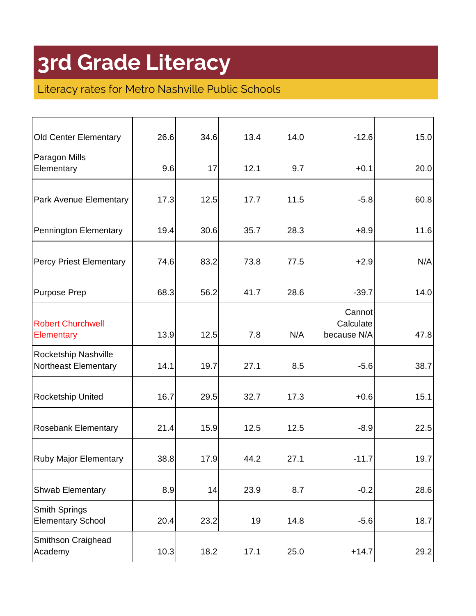| 26.6 | 34.6 | 13.4                        | 14.0         | $-12.6$                            | 15.0              |
|------|------|-----------------------------|--------------|------------------------------------|-------------------|
| 9.6  | 17   | 12.1                        | 9.7          | $+0.1$                             | 20.0              |
|      | 12.5 | 17.7                        | 11.5         | $-5.8$                             | 60.8              |
| 19.4 | 30.6 | 35.7                        | 28.3         | $+8.9$                             | 11.6              |
| 74.6 | 83.2 | 73.8                        | 77.5         | $+2.9$                             | N/A               |
| 68.3 | 56.2 | 41.7                        | 28.6         | $-39.7$                            | 14.0              |
| 13.9 | 12.5 | 7.8                         | N/A          | Cannot<br>Calculate<br>because N/A | 47.8              |
| 14.1 | 19.7 | 27.1                        | 8.5          | $-5.6$                             | 38.7              |
| 16.7 | 29.5 | 32.7                        | 17.3         | $+0.6$                             | 15.1              |
| 21.4 | 15.9 | 12.5                        | 12.5         | $-8.9$                             | 22.5              |
| 38.8 | 17.9 | 44.2                        | 27.1         | $-11.7$                            | 19.7              |
|      | 14   |                             | 8.7          | $-0.2$                             | 28.6              |
|      |      |                             | 14.8         |                                    | 18.7              |
|      |      | 17.1                        | 25.0         |                                    | 29.2              |
|      |      | 17.3<br>8.9<br>20.4<br>10.3 | 23.2<br>18.2 | 23.9<br>19                         | $-5.6$<br>$+14.7$ |